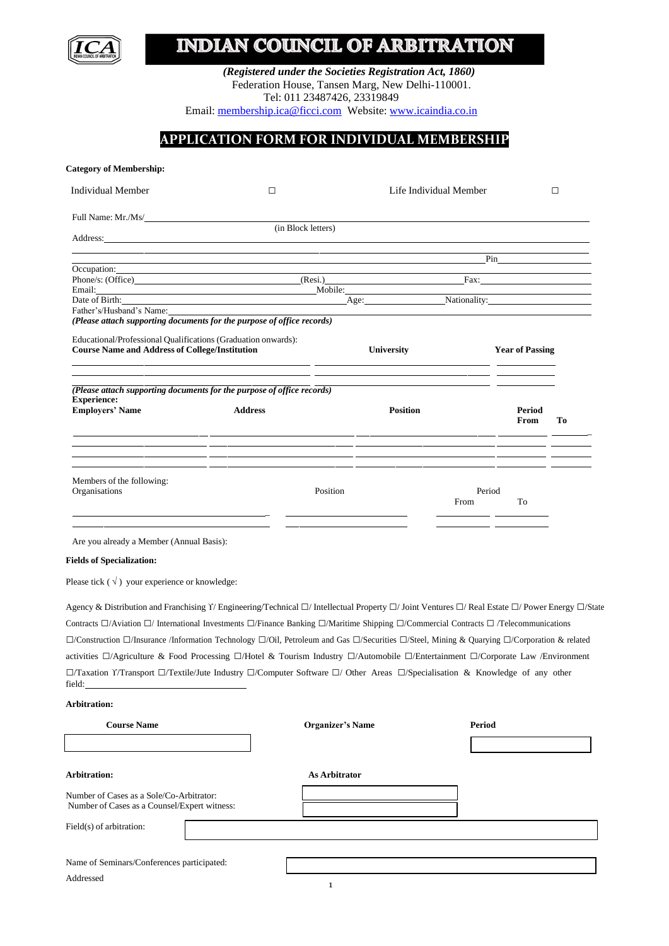# **INDIAN COUNCIL OF ARBITRATION**

*(Registered under the Societies Registration Act, 1860)* Federation House, Tansen Marg, New Delhi-110001. Tel: 011 23487426, 23319849

Email: [membership.ica@ficci.com](mailto:membership.ica@ficci.com) Website: [www.icaindia.co.in](http://www.icaindia.co.in/)

## **APPLICATION FORM FOR INDIVIDUAL MEMBERSHIP**

| (in Block letters)           | Life Individual Member                                                                                                                                                                  |                                                                                                                                                                                                                                | $\Box$                                                                                                                                                                                                                                                                                                                                                                                                                                                                                                                                                                                                                                                                                                                                                                                                                                                                                                                                                                                        |
|------------------------------|-----------------------------------------------------------------------------------------------------------------------------------------------------------------------------------------|--------------------------------------------------------------------------------------------------------------------------------------------------------------------------------------------------------------------------------|-----------------------------------------------------------------------------------------------------------------------------------------------------------------------------------------------------------------------------------------------------------------------------------------------------------------------------------------------------------------------------------------------------------------------------------------------------------------------------------------------------------------------------------------------------------------------------------------------------------------------------------------------------------------------------------------------------------------------------------------------------------------------------------------------------------------------------------------------------------------------------------------------------------------------------------------------------------------------------------------------|
|                              |                                                                                                                                                                                         |                                                                                                                                                                                                                                |                                                                                                                                                                                                                                                                                                                                                                                                                                                                                                                                                                                                                                                                                                                                                                                                                                                                                                                                                                                               |
|                              |                                                                                                                                                                                         |                                                                                                                                                                                                                                |                                                                                                                                                                                                                                                                                                                                                                                                                                                                                                                                                                                                                                                                                                                                                                                                                                                                                                                                                                                               |
|                              |                                                                                                                                                                                         |                                                                                                                                                                                                                                |                                                                                                                                                                                                                                                                                                                                                                                                                                                                                                                                                                                                                                                                                                                                                                                                                                                                                                                                                                                               |
|                              |                                                                                                                                                                                         |                                                                                                                                                                                                                                |                                                                                                                                                                                                                                                                                                                                                                                                                                                                                                                                                                                                                                                                                                                                                                                                                                                                                                                                                                                               |
|                              |                                                                                                                                                                                         | Pin and the same state of the state of the state of the state of the state of the state of the state of the state of the state of the state of the state of the state of the state of the state of the state of the state of t |                                                                                                                                                                                                                                                                                                                                                                                                                                                                                                                                                                                                                                                                                                                                                                                                                                                                                                                                                                                               |
| Phone/s: (Office)<br>(Resi.) |                                                                                                                                                                                         | Fax: The contract of the contract of the contract of the contract of the contract of the contract of the contract of the contract of the contract of the contract of the contract of the contract of the contract of the contr |                                                                                                                                                                                                                                                                                                                                                                                                                                                                                                                                                                                                                                                                                                                                                                                                                                                                                                                                                                                               |
| Mobile:                      |                                                                                                                                                                                         |                                                                                                                                                                                                                                |                                                                                                                                                                                                                                                                                                                                                                                                                                                                                                                                                                                                                                                                                                                                                                                                                                                                                                                                                                                               |
|                              |                                                                                                                                                                                         |                                                                                                                                                                                                                                |                                                                                                                                                                                                                                                                                                                                                                                                                                                                                                                                                                                                                                                                                                                                                                                                                                                                                                                                                                                               |
|                              |                                                                                                                                                                                         |                                                                                                                                                                                                                                |                                                                                                                                                                                                                                                                                                                                                                                                                                                                                                                                                                                                                                                                                                                                                                                                                                                                                                                                                                                               |
|                              |                                                                                                                                                                                         |                                                                                                                                                                                                                                |                                                                                                                                                                                                                                                                                                                                                                                                                                                                                                                                                                                                                                                                                                                                                                                                                                                                                                                                                                                               |
|                              |                                                                                                                                                                                         |                                                                                                                                                                                                                                |                                                                                                                                                                                                                                                                                                                                                                                                                                                                                                                                                                                                                                                                                                                                                                                                                                                                                                                                                                                               |
|                              |                                                                                                                                                                                         |                                                                                                                                                                                                                                |                                                                                                                                                                                                                                                                                                                                                                                                                                                                                                                                                                                                                                                                                                                                                                                                                                                                                                                                                                                               |
|                              |                                                                                                                                                                                         |                                                                                                                                                                                                                                |                                                                                                                                                                                                                                                                                                                                                                                                                                                                                                                                                                                                                                                                                                                                                                                                                                                                                                                                                                                               |
|                              |                                                                                                                                                                                         |                                                                                                                                                                                                                                |                                                                                                                                                                                                                                                                                                                                                                                                                                                                                                                                                                                                                                                                                                                                                                                                                                                                                                                                                                                               |
|                              |                                                                                                                                                                                         | Period                                                                                                                                                                                                                         |                                                                                                                                                                                                                                                                                                                                                                                                                                                                                                                                                                                                                                                                                                                                                                                                                                                                                                                                                                                               |
|                              |                                                                                                                                                                                         | From                                                                                                                                                                                                                           | Tо                                                                                                                                                                                                                                                                                                                                                                                                                                                                                                                                                                                                                                                                                                                                                                                                                                                                                                                                                                                            |
| Position                     | From                                                                                                                                                                                    | To                                                                                                                                                                                                                             |                                                                                                                                                                                                                                                                                                                                                                                                                                                                                                                                                                                                                                                                                                                                                                                                                                                                                                                                                                                               |
|                              |                                                                                                                                                                                         |                                                                                                                                                                                                                                |                                                                                                                                                                                                                                                                                                                                                                                                                                                                                                                                                                                                                                                                                                                                                                                                                                                                                                                                                                                               |
|                              |                                                                                                                                                                                         |                                                                                                                                                                                                                                |                                                                                                                                                                                                                                                                                                                                                                                                                                                                                                                                                                                                                                                                                                                                                                                                                                                                                                                                                                                               |
|                              |                                                                                                                                                                                         |                                                                                                                                                                                                                                |                                                                                                                                                                                                                                                                                                                                                                                                                                                                                                                                                                                                                                                                                                                                                                                                                                                                                                                                                                                               |
|                              |                                                                                                                                                                                         |                                                                                                                                                                                                                                |                                                                                                                                                                                                                                                                                                                                                                                                                                                                                                                                                                                                                                                                                                                                                                                                                                                                                                                                                                                               |
|                              |                                                                                                                                                                                         |                                                                                                                                                                                                                                |                                                                                                                                                                                                                                                                                                                                                                                                                                                                                                                                                                                                                                                                                                                                                                                                                                                                                                                                                                                               |
|                              |                                                                                                                                                                                         |                                                                                                                                                                                                                                |                                                                                                                                                                                                                                                                                                                                                                                                                                                                                                                                                                                                                                                                                                                                                                                                                                                                                                                                                                                               |
|                              |                                                                                                                                                                                         |                                                                                                                                                                                                                                |                                                                                                                                                                                                                                                                                                                                                                                                                                                                                                                                                                                                                                                                                                                                                                                                                                                                                                                                                                                               |
|                              | Date of Birth:<br>(Please attach supporting documents for the purpose of office records)<br><b>University</b><br>(Please attach supporting documents for the purpose of office records) | <b>Position</b>                                                                                                                                                                                                                | Age: Nationality:<br><b>Year of Passing</b><br><u> 1989 - Johann Stein, mars an deutscher Stein und der Stein und der Stein und der Stein und der Stein und der</u><br>Period<br>Agency & Distribution and Franchising Y/Engineering/Technical □/ Intellectual Property □/ Joint Ventures □/ Real Estate □/ Power Energy □/State<br>Contracts $\Box$ /Aviation $\Box$ /International Investments $\Box$ /Finance Banking $\Box$ /Maritime Shipping $\Box$ /Commercial Contracts $\Box$ /Telecommunications<br>$\Box$ /Construction $\Box$ /Insurance /Information Technology $\Box$ /Oil, Petroleum and Gas $\Box$ /Securities $\Box$ /Steel, Mining & Quarying $\Box$ /Corporation & related<br>activities □/Agriculture & Food Processing □/Hotel & Tourism Industry □/Automobile □/Entertainment □/Corporate Law /Environment<br>$\Box$ /Taxation Y/Transport $\Box$ /Textile/Jute Industry $\Box$ /Computer Software $\Box$ / Other Areas $\Box$ /Specialisation & Knowledge of any other |

| <b>Course Name</b>                                                                       | <b>Organizer's Name</b> | <b>Period</b> |
|------------------------------------------------------------------------------------------|-------------------------|---------------|
|                                                                                          |                         |               |
| <b>Arbitration:</b>                                                                      | <b>As Arbitrator</b>    |               |
| Number of Cases as a Sole/Co-Arbitrator:<br>Number of Cases as a Counsel/Expert witness: |                         |               |
| Field(s) of arbitration:                                                                 |                         |               |
|                                                                                          |                         |               |
| Name of Seminars/Conferences participated:                                               |                         |               |
| Addressed                                                                                |                         |               |